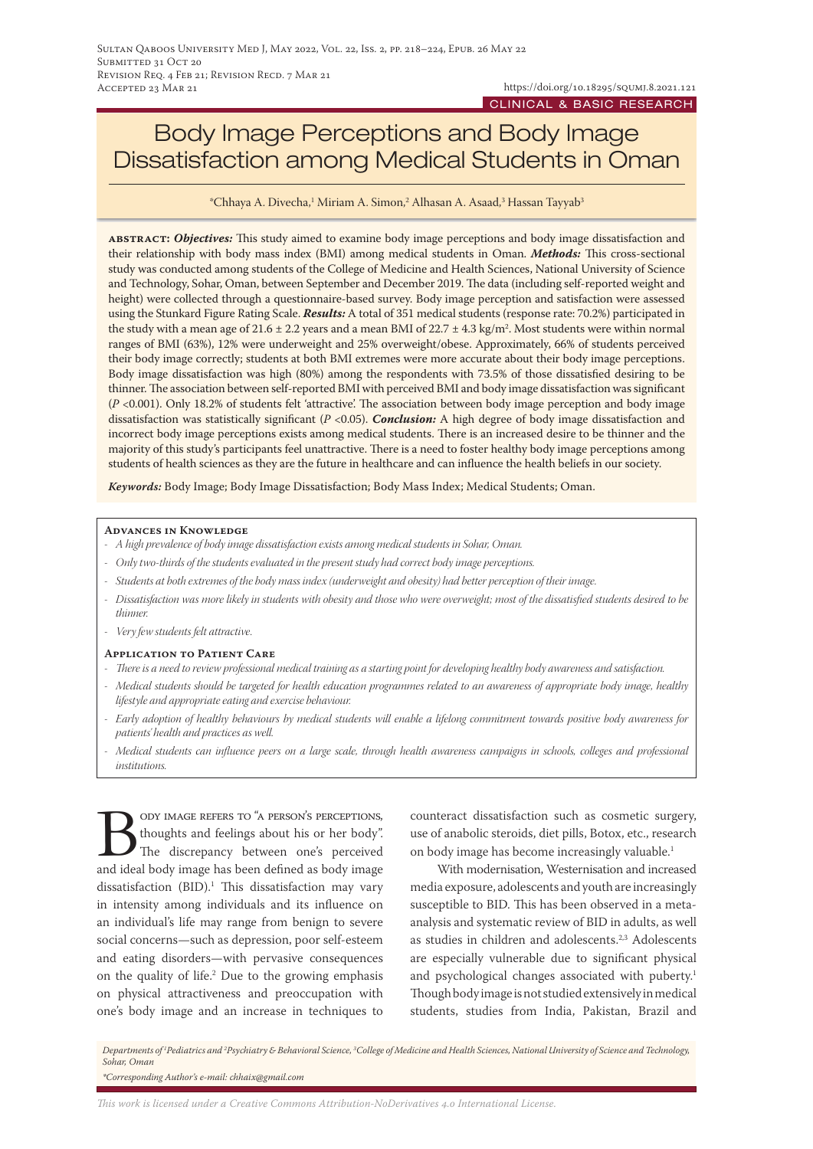# Body Image Perceptions and Body Image Dissatisfaction among Medical Students in Oman

 $^\ast$ Chhaya A. Divecha, $^1$  Miriam A. Simon, $^2$  Alhasan A. Asaad, $^3$  Hassan Tayyab $^3$ 

**abstract:** *Objectives:* This study aimed to examine body image perceptions and body image dissatisfaction and their relationship with body mass index (BMI) among medical students in Oman. *Methods:* This cross-sectional study was conducted among students of the College of Medicine and Health Sciences, National University of Science and Technology, Sohar, Oman, between September and December 2019. The data (including self-reported weight and height) were collected through a questionnaire-based survey. Body image perception and satisfaction were assessed using the Stunkard Figure Rating Scale. *Results:* A total of 351 medical students (response rate: 70.2%) participated in the study with a mean age of 21.6  $\pm$  2.2 years and a mean BMI of 22.7  $\pm$  4.3 kg/m². Most students were within normal ranges of BMI (63%), 12% were underweight and 25% overweight/obese. Approximately, 66% of students perceived their body image correctly; students at both BMI extremes were more accurate about their body image perceptions. Body image dissatisfaction was high (80%) among the respondents with 73.5% of those dissatisfied desiring to be thinner. The association between self-reported BMI with perceived BMI and body image dissatisfaction was significant (*P* <0.001). Only 18.2% of students felt 'attractive'. The association between body image perception and body image dissatisfaction was statistically significant (*P* <0.05). *Conclusion:* A high degree of body image dissatisfaction and incorrect body image perceptions exists among medical students. There is an increased desire to be thinner and the majority of this study's participants feel unattractive. There is a need to foster healthy body image perceptions among students of health sciences as they are the future in healthcare and can influence the health beliefs in our society.

*Keywords:* Body Image; Body Image Dissatisfaction; Body Mass Index; Medical Students; Oman.

#### **Advances in Knowledge**

- *- A high prevalence of body image dissatisfaction exists among medical students in Sohar, Oman.*
- *- Only two-thirds of the students evaluated in the present study had correct body image perceptions.*
- *- Students at both extremes of the body mass index (underweight and obesity) had better perception of their image.*
- *- Dissatisfaction was more likely in students with obesity and those who were overweight; most of the dissatisfied students desired to be thinner.*
- *- Very few students felt attractive.*

#### **Application to Patient Care**

- *- There is a need to review professional medical training as a starting point for developing healthy body awareness and satisfaction.*
- *- Medical students should be targeted for health education programmes related to an awareness of appropriate body image, healthy lifestyle and appropriate eating and exercise behaviour.*
- *- Early adoption of healthy behaviours by medical students will enable a lifelong commitment towards positive body awareness for patients' health and practices as well.*
- *- Medical students can influence peers on a large scale, through health awareness campaigns in schools, colleges and professional institutions.*

Body IMAGE REFERS TO "A PERSON'S PERCEPTIONS,<br>thoughts and feelings about his or her body".<br>The discrepancy between one's perceived<br>and ideal body image has been defined as body image thoughts and feelings about his or her body". The discrepancy between one's perceived and ideal body image has been defined as body image  $dissatis$  faction (BID).<sup>1</sup> This dissatisfaction may vary in intensity among individuals and its influence on an individual's life may range from benign to severe social concerns—such as depression, poor self-esteem and eating disorders—with pervasive consequences on the quality of life.2 Due to the growing emphasis on physical attractiveness and preoccupation with one's body image and an increase in techniques to

counteract dissatisfaction such as cosmetic surgery, use of anabolic steroids, diet pills, Botox, etc., research on body image has become increasingly valuable.<sup>1</sup>

With modernisation, Westernisation and increased media exposure, adolescents and youth are increasingly susceptible to BID. This has been observed in a metaanalysis and systematic review of BID in adults, as well as studies in children and adolescents.<sup>2,3</sup> Adolescents are especially vulnerable due to significant physical and psychological changes associated with puberty.<sup>1</sup> Though body image is not studied extensively in medical students, studies from India, Pakistan, Brazil and

Departments of <sup>1</sup>Pediatrics and <sup>2</sup>Psychiatry & Behavioral Science, <sup>3</sup>College of Medicine and Health Sciences, National University of Science and Technology, *Sohar, Oman \*Corresponding Author's e-mail: chhaix@gmail.com*

*This work is licensed under a [Creative Commons Attribution-NoDerivatives 4.0 International License.](https://creativecommons.org/licenses/by-nd/4.0/)*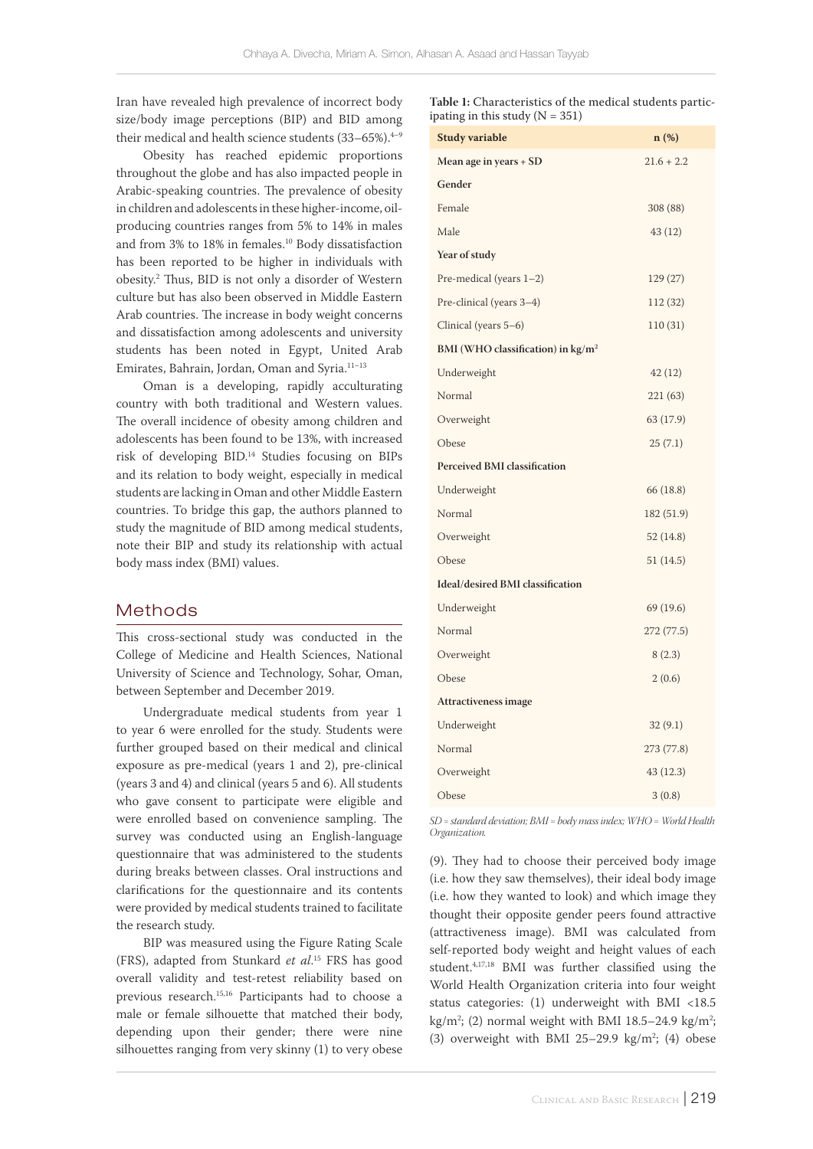Iran have revealed high prevalence of incorrect body size/body image perceptions (BIP) and BID among their medical and health science students  $(33-65\%)$ .<sup>4-9</sup>

Obesity has reached epidemic proportions throughout the globe and has also impacted people in Arabic-speaking countries. The prevalence of obesity in children and adolescents in these higher-income, oilproducing countries ranges from 5% to 14% in males and from 3% to 18% in females.10 Body dissatisfaction has been reported to be higher in individuals with obesity.2 Thus, BID is not only a disorder of Western culture but has also been observed in Middle Eastern Arab countries. The increase in body weight concerns and dissatisfaction among adolescents and university students has been noted in Egypt, United Arab Emirates, Bahrain, Jordan, Oman and Syria.11–13

Oman is a developing, rapidly acculturating country with both traditional and Western values. The overall incidence of obesity among children and adolescents has been found to be 13%, with increased risk of developing BID.14 Studies focusing on BIPs and its relation to body weight, especially in medical students are lacking in Oman and other Middle Eastern countries. To bridge this gap, the authors planned to study the magnitude of BID among medical students, note their BIP and study its relationship with actual body mass index (BMI) values.

## Methods

This cross-sectional study was conducted in the College of Medicine and Health Sciences, National University of Science and Technology, Sohar, Oman, between September and December 2019.

Undergraduate medical students from year 1 to year 6 were enrolled for the study. Students were further grouped based on their medical and clinical exposure as pre-medical (years 1 and 2), pre-clinical (years 3 and 4) and clinical (years 5 and 6). All students who gave consent to participate were eligible and were enrolled based on convenience sampling. The survey was conducted using an English-language questionnaire that was administered to the students during breaks between classes. Oral instructions and clarifications for the questionnaire and its contents were provided by medical students trained to facilitate the research study.

BIP was measured using the Figure Rating Scale (FRS), adapted from Stunkard *et al*. 15 FRS has good overall validity and test-retest reliability based on previous research.15,16 Participants had to choose a male or female silhouette that matched their body, depending upon their gender; there were nine silhouettes ranging from very skinny (1) to very obese

**Table 1:** Characteristics of the medical students participating in this study  $(N = 351)$ 

| <b>Study variable</b>                       | $n(\%)$      |
|---------------------------------------------|--------------|
| Mean age in years + SD                      | $21.6 + 2.2$ |
| Gender                                      |              |
| Female                                      | 308 (88)     |
| Male                                        | 43 (12)      |
| Year of study                               |              |
| Pre-medical (years $1-2$ )                  | 129 (27)     |
| Pre-clinical (years 3-4)                    | 112 (32)     |
| Clinical (years 5–6)                        | 110(31)      |
| BMI (WHO classification) in $\text{kg/m}^2$ |              |
| Underweight                                 | 42(12)       |
| Normal                                      | 221 (63)     |
| Overweight                                  | 63 (17.9)    |
| Obese                                       | 25(7.1)      |
| <b>Perceived BMI classification</b>         |              |
| Underweight                                 | 66 (18.8)    |
| Normal                                      | 182 (51.9)   |
| Overweight                                  | 52(14.8)     |
| Obese                                       | 51 (14.5)    |
| Ideal/desired BMI classification            |              |
| Underweight                                 | 69 (19.6)    |
| Normal                                      | 272 (77.5)   |
| Overweight                                  | 8(2.3)       |
| Obese                                       | 2(0.6)       |
| Attractiveness image                        |              |
| Underweight                                 | 32(9.1)      |
| Normal                                      | 273 (77.8)   |
| Overweight                                  | 43 (12.3)    |
| Obese                                       | 3(0.8)       |

*SD = standard deviation; BMI = body mass index; WHO = World Health Organization.*

(9). They had to choose their perceived body image (i.e. how they saw themselves), their ideal body image (i.e. how they wanted to look) and which image they thought their opposite gender peers found attractive (attractiveness image). BMI was calculated from self-reported body weight and height values of each student.4,17,18 BMI was further classified using the World Health Organization criteria into four weight status categories: (1) underweight with BMI <18.5 kg/m<sup>2</sup>; (2) normal weight with BMI 18.5–24.9 kg/m<sup>2</sup>; (3) overweight with BMI  $25-29.9$  kg/m<sup>2</sup>; (4) obese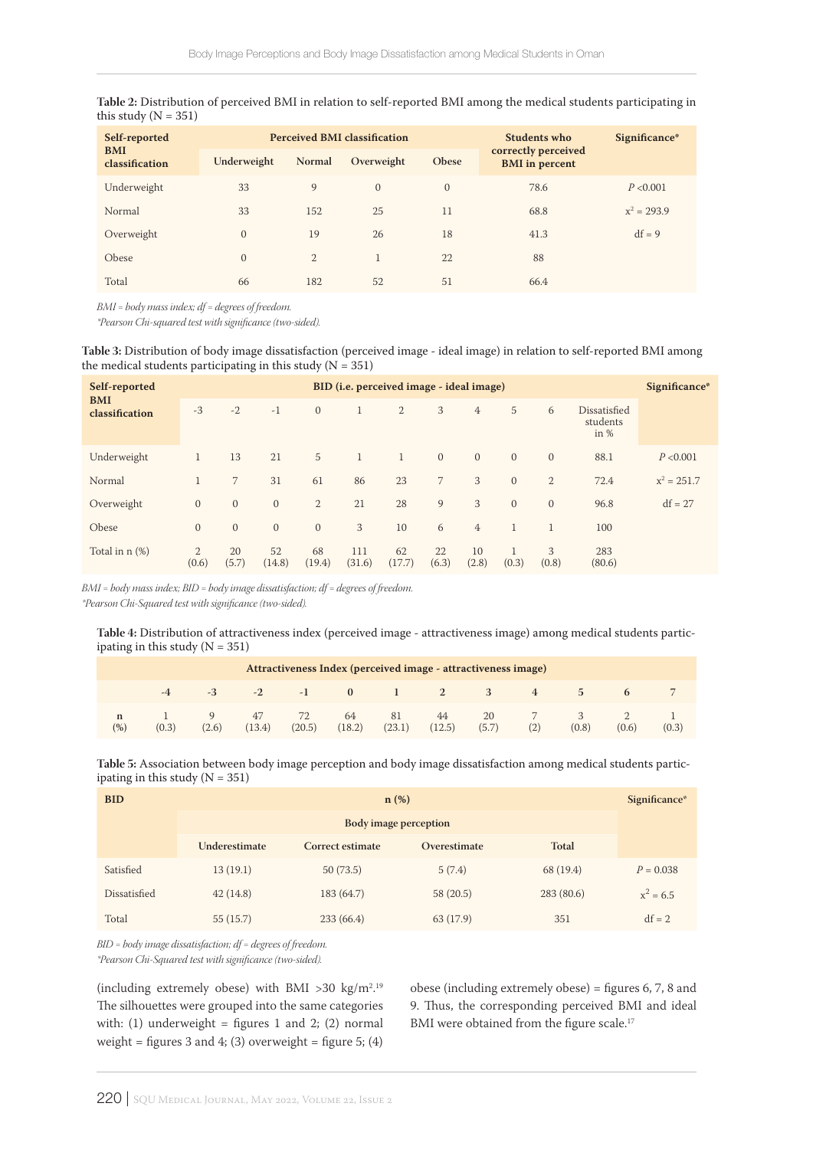| Table 2: Distribution of perceived BMI in relation to self-reported BMI among the medical students participating in |  |
|---------------------------------------------------------------------------------------------------------------------|--|
| this study ( $N = 351$ )                                                                                            |  |

| Self-reported<br><b>BMI</b><br>classification |              |               | <b>Perceived BMI classification</b> | Students who | Significance*                                |               |
|-----------------------------------------------|--------------|---------------|-------------------------------------|--------------|----------------------------------------------|---------------|
|                                               | Underweight  | <b>Normal</b> | Overweight                          | <b>Obese</b> | correctly perceived<br><b>BMI</b> in percent |               |
| Underweight                                   | 33           | 9             | $\Omega$                            | $\Omega$     | 78.6                                         | P < 0.001     |
| Normal                                        | 33           | 152           | 25                                  | 11           | 68.8                                         | $x^2 = 293.9$ |
| Overweight                                    | $\mathbf{0}$ | 19            | 26                                  | 18           | 41.3                                         | $df = 9$      |
| Obese                                         | $\mathbf{0}$ | 2             |                                     | 22           | 88                                           |               |
| Total                                         | 66           | 182           | 52                                  | 51           | 66.4                                         |               |

*BMI = body mass index; df = degrees of freedom.*

*\*Pearson Chi-squared test with significance (two-sided).*

**Table 3:** Distribution of body image dissatisfaction (perceived image - ideal image) in relation to self-reported BMI among the medical students participating in this study ( $N = 351$ )

| Self-reported                | BID ( <i>i.e.</i> perceived image - ideal image) |                |                |                |                |              |                |                |              |                |                                    | Significance* |
|------------------------------|--------------------------------------------------|----------------|----------------|----------------|----------------|--------------|----------------|----------------|--------------|----------------|------------------------------------|---------------|
| <b>BMI</b><br>classification | $-3$                                             | $-2$           | $-1$           | $\overline{0}$ | 1              | 2            | 3              | $\overline{4}$ | 5            | 6              | Dissatisfied<br>students<br>in $%$ |               |
| Underweight                  | $\mathbf{1}$                                     | 13             | 21             | 5              | $\overline{1}$ |              | $\mathbf{0}$   | $\overline{0}$ | $\Omega$     | $\overline{0}$ | 88.1                               | P < 0.001     |
| Normal                       | $\mathbf{1}$                                     | $7^{\circ}$    | 31             | 61             | 86             | 23           | $\overline{7}$ | 3              | $\mathbf{0}$ | 2              | 72.4                               | $x^2 = 251.7$ |
| Overweight                   | $\mathbf{0}$                                     | $\overline{0}$ | $\overline{0}$ | 2              | 21             | 28           | 9              | 3              | $\Omega$     | $\overline{0}$ | 96.8                               | $df = 27$     |
| Obese                        | $\mathbf{0}$                                     | $\mathbf{0}$   | $\overline{0}$ | $\mathbf{0}$   | 3              | 10           | 6              | $\overline{4}$ |              | $\mathbf{1}$   | 100                                |               |
| Total in n (%)               | $\overline{2}$<br>(0.6)                          | 20<br>(5.7)    | 52<br>(14.8)   | 68<br>(19.4)   | 111<br>(31.6)  | 62<br>(17.7) | 22<br>(6.3)    | 10<br>(2.8)    | (0.3)        | 3<br>(0.8)     | 283<br>(80.6)                      |               |

*BMI = body mass index; BID = body image dissatisfaction; df = degrees of freedom. \*Pearson Chi-Squared test with significance (two-sided).*

**Table 4:** Distribution of attractiveness index (perceived image - attractiveness image) among medical students participating in this study  $(N = 351)$ 

| Attractiveness Index (perceived image - attractiveness image) |       |       |               |              |              |              |              |             |     |               |              |       |
|---------------------------------------------------------------|-------|-------|---------------|--------------|--------------|--------------|--------------|-------------|-----|---------------|--------------|-------|
|                                                               | $-4$  | -3    | $-2$          | $-1$         | $\mathbf{0}$ |              | 2            | 3           | 4   | $\mathcal{D}$ | $\mathbf{p}$ |       |
| n<br>(%)                                                      | (0.3) | (2.6) | -47<br>(13.4) | 72<br>(20.5) | 64<br>(18.2) | 81<br>(23.1) | 44<br>(12.5) | 20<br>(5.7) | (2) | (0.8)         | (0.6)        | (0.3) |

**Table 5:** Association between body image perception and body image dissatisfaction among medical students participating in this study (N = 351)

| <b>BID</b>   | $n$ (%)                                                           |            |           |           |             |  |  |  |  |  |
|--------------|-------------------------------------------------------------------|------------|-----------|-----------|-------------|--|--|--|--|--|
|              | <b>Body</b> image perception                                      |            |           |           |             |  |  |  |  |  |
|              | Total<br>Underestimate<br>Correct estimate<br><b>Overestimate</b> |            |           |           |             |  |  |  |  |  |
| Satisfied    | 13(19.1)                                                          | 50(73.5)   | 5(7.4)    | 68 (19.4) | $P = 0.038$ |  |  |  |  |  |
| Dissatisfied | 42(14.8)                                                          | 183 (64.7) | 58 (20.5) | 283(80.6) | $x^2 = 6.5$ |  |  |  |  |  |
| Total        | 55(15.7)                                                          | 233(66.4)  | 63 (17.9) | 351       | $df = 2$    |  |  |  |  |  |

*BID = body image dissatisfaction; df = degrees of freedom.*

*\*Pearson Chi-Squared test with significance (two-sided).*

(including extremely obese) with BMI >30 kg/m<sup>2</sup>.<sup>19</sup> The silhouettes were grouped into the same categories with: (1) underweight = figures 1 and 2; (2) normal weight = figures 3 and 4; (3) overweight = figure 5; (4)

obese (including extremely obese) = figures 6, 7, 8 and 9. Thus, the corresponding perceived BMI and ideal BMI were obtained from the figure scale.<sup>17</sup>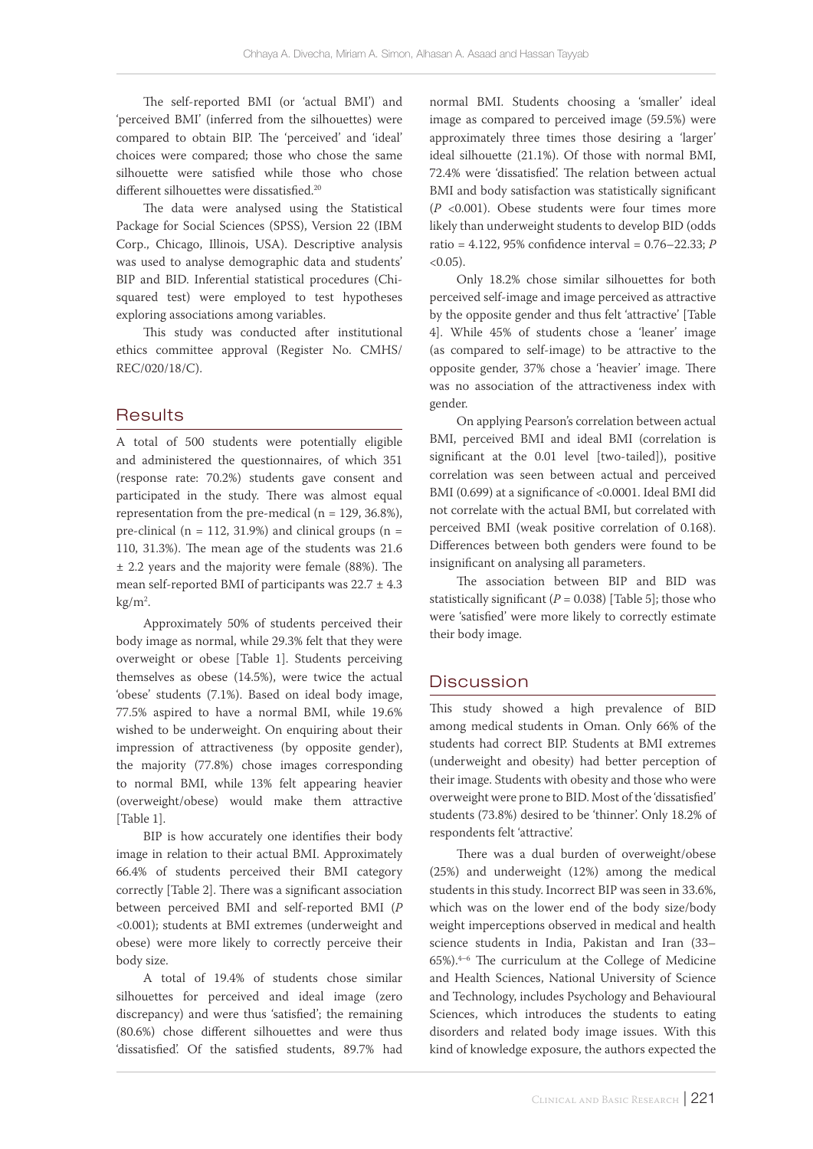The self-reported BMI (or 'actual BMI') and 'perceived BMI' (inferred from the silhouettes) were compared to obtain BIP. The 'perceived' and 'ideal' choices were compared; those who chose the same silhouette were satisfied while those who chose different silhouettes were dissatisfied.<sup>20</sup>

The data were analysed using the Statistical Package for Social Sciences (SPSS), Version 22 (IBM Corp., Chicago, Illinois, USA). Descriptive analysis was used to analyse demographic data and students' BIP and BID. Inferential statistical procedures (Chisquared test) were employed to test hypotheses exploring associations among variables.

This study was conducted after institutional ethics committee approval (Register No. CMHS/ REC/020/18/C).

## **Results**

A total of 500 students were potentially eligible and administered the questionnaires, of which 351 (response rate: 70.2%) students gave consent and participated in the study. There was almost equal representation from the pre-medical ( $n = 129, 36.8\%$ ), pre-clinical ( $n = 112, 31.9%$ ) and clinical groups ( $n =$ 110, 31.3%). The mean age of the students was 21.6 ± 2.2 years and the majority were female (88%). The mean self-reported BMI of participants was  $22.7 \pm 4.3$  $\text{kg/m}^2$ .

Approximately 50% of students perceived their body image as normal, while 29.3% felt that they were overweight or obese [Table 1]. Students perceiving themselves as obese (14.5%), were twice the actual 'obese' students (7.1%). Based on ideal body image, 77.5% aspired to have a normal BMI, while 19.6% wished to be underweight. On enquiring about their impression of attractiveness (by opposite gender), the majority (77.8%) chose images corresponding to normal BMI, while 13% felt appearing heavier (overweight/obese) would make them attractive [Table 1].

BIP is how accurately one identifies their body image in relation to their actual BMI. Approximately 66.4% of students perceived their BMI category correctly [Table 2]. There was a significant association between perceived BMI and self-reported BMI (*P* <0.001); students at BMI extremes (underweight and obese) were more likely to correctly perceive their body size.

A total of 19.4% of students chose similar silhouettes for perceived and ideal image (zero discrepancy) and were thus 'satisfied'; the remaining (80.6%) chose different silhouettes and were thus 'dissatisfied'. Of the satisfied students, 89.7% had

normal BMI. Students choosing a 'smaller' ideal image as compared to perceived image (59.5%) were approximately three times those desiring a 'larger' ideal silhouette (21.1%). Of those with normal BMI, 72.4% were 'dissatisfied'. The relation between actual BMI and body satisfaction was statistically significant (*P* <0.001). Obese students were four times more likely than underweight students to develop BID (odds ratio = 4.122, 95% confidence interval = 0.76–22.33; *P*  $< 0.05$ ).

Only 18.2% chose similar silhouettes for both perceived self-image and image perceived as attractive by the opposite gender and thus felt 'attractive' [Table 4]. While 45% of students chose a 'leaner' image (as compared to self-image) to be attractive to the opposite gender, 37% chose a 'heavier' image. There was no association of the attractiveness index with gender.

On applying Pearson's correlation between actual BMI, perceived BMI and ideal BMI (correlation is significant at the 0.01 level [two-tailed]), positive correlation was seen between actual and perceived BMI (0.699) at a significance of <0.0001. Ideal BMI did not correlate with the actual BMI, but correlated with perceived BMI (weak positive correlation of 0.168). Differences between both genders were found to be insignificant on analysing all parameters.

The association between BIP and BID was statistically significant  $(P = 0.038)$  [Table 5]; those who were 'satisfied' were more likely to correctly estimate their body image.

## **Discussion**

This study showed a high prevalence of BID among medical students in Oman. Only 66% of the students had correct BIP. Students at BMI extremes (underweight and obesity) had better perception of their image. Students with obesity and those who were overweight were prone to BID. Most of the 'dissatisfied' students (73.8%) desired to be 'thinner'. Only 18.2% of respondents felt 'attractive'.

There was a dual burden of overweight/obese (25%) and underweight (12%) among the medical students in this study. Incorrect BIP was seen in 33.6%, which was on the lower end of the body size/body weight imperceptions observed in medical and health science students in India, Pakistan and Iran (33–  $65\%$ ).<sup>4–6</sup> The curriculum at the College of Medicine and Health Sciences, National University of Science and Technology, includes Psychology and Behavioural Sciences, which introduces the students to eating disorders and related body image issues. With this kind of knowledge exposure, the authors expected the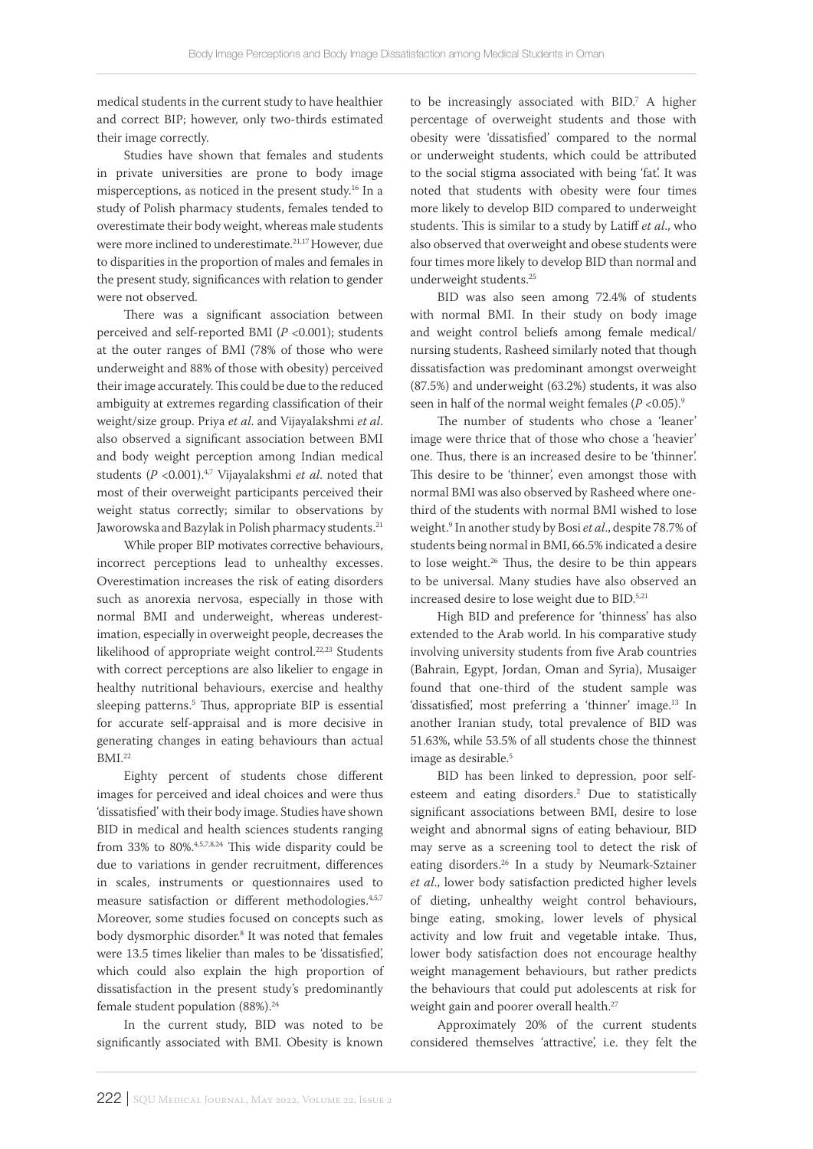medical students in the current study to have healthier and correct BIP; however, only two-thirds estimated their image correctly.

Studies have shown that females and students in private universities are prone to body image misperceptions, as noticed in the present study.16 In a study of Polish pharmacy students, females tended to overestimate their body weight, whereas male students were more inclined to underestimate.<sup>21,17</sup> However, due to disparities in the proportion of males and females in the present study, significances with relation to gender were not observed.

There was a significant association between perceived and self-reported BMI (*P* <0.001); students at the outer ranges of BMI (78% of those who were underweight and 88% of those with obesity) perceived their image accurately. This could be due to the reduced ambiguity at extremes regarding classification of their weight/size group. Priya *et al*. and Vijayalakshmi *et al*. also observed a significant association between BMI and body weight perception among Indian medical students (*P* <0.001).4,7 Vijayalakshmi *et al*. noted that most of their overweight participants perceived their weight status correctly; similar to observations by Jaworowska and Bazylak in Polish pharmacy students.<sup>21</sup>

While proper BIP motivates corrective behaviours, incorrect perceptions lead to unhealthy excesses. Overestimation increases the risk of eating disorders such as anorexia nervosa, especially in those with normal BMI and underweight, whereas underestimation, especially in overweight people, decreases the likelihood of appropriate weight control.<sup>22,23</sup> Students with correct perceptions are also likelier to engage in healthy nutritional behaviours, exercise and healthy sleeping patterns.5 Thus, appropriate BIP is essential for accurate self-appraisal and is more decisive in generating changes in eating behaviours than actual BMI.22

Eighty percent of students chose different images for perceived and ideal choices and were thus 'dissatisfied' with their body image. Studies have shown BID in medical and health sciences students ranging from 33% to 80%.<sup>4,5,7,8,24</sup> This wide disparity could be due to variations in gender recruitment, differences in scales, instruments or questionnaires used to measure satisfaction or different methodologies.4,5,7 Moreover, some studies focused on concepts such as body dysmorphic disorder.8 It was noted that females were 13.5 times likelier than males to be 'dissatisfied', which could also explain the high proportion of dissatisfaction in the present study's predominantly female student population (88%).<sup>24</sup>

In the current study, BID was noted to be significantly associated with BMI. Obesity is known

to be increasingly associated with BID.7 A higher percentage of overweight students and those with obesity were 'dissatisfied' compared to the normal or underweight students, which could be attributed to the social stigma associated with being 'fat'. It was noted that students with obesity were four times more likely to develop BID compared to underweight students. This is similar to a study by Latiff *et al*., who also observed that overweight and obese students were four times more likely to develop BID than normal and underweight students.25

BID was also seen among 72.4% of students with normal BMI. In their study on body image and weight control beliefs among female medical/ nursing students, Rasheed similarly noted that though dissatisfaction was predominant amongst overweight (87.5%) and underweight (63.2%) students, it was also seen in half of the normal weight females  $(P < 0.05)$ .<sup>9</sup>

The number of students who chose a 'leaner' image were thrice that of those who chose a 'heavier' one. Thus, there is an increased desire to be 'thinner'. This desire to be 'thinner', even amongst those with normal BMI was also observed by Rasheed where onethird of the students with normal BMI wished to lose weight.9 In another study by Bosi *et al*., despite 78.7% of students being normal in BMI, 66.5% indicated a desire to lose weight.26 Thus, the desire to be thin appears to be universal. Many studies have also observed an increased desire to lose weight due to BID.5,21

High BID and preference for 'thinness' has also extended to the Arab world. In his comparative study involving university students from five Arab countries (Bahrain, Egypt, Jordan, Oman and Syria), Musaiger found that one-third of the student sample was 'dissatisfied', most preferring a 'thinner' image.<sup>13</sup> In another Iranian study, total prevalence of BID was 51.63%, while 53.5% of all students chose the thinnest image as desirable.<sup>5</sup>

BID has been linked to depression, poor selfesteem and eating disorders.2 Due to statistically significant associations between BMI, desire to lose weight and abnormal signs of eating behaviour, BID may serve as a screening tool to detect the risk of eating disorders.26 In a study by Neumark-Sztainer *et al*., lower body satisfaction predicted higher levels of dieting, unhealthy weight control behaviours, binge eating, smoking, lower levels of physical activity and low fruit and vegetable intake. Thus, lower body satisfaction does not encourage healthy weight management behaviours, but rather predicts the behaviours that could put adolescents at risk for weight gain and poorer overall health.<sup>27</sup>

Approximately 20% of the current students considered themselves 'attractive', i.e. they felt the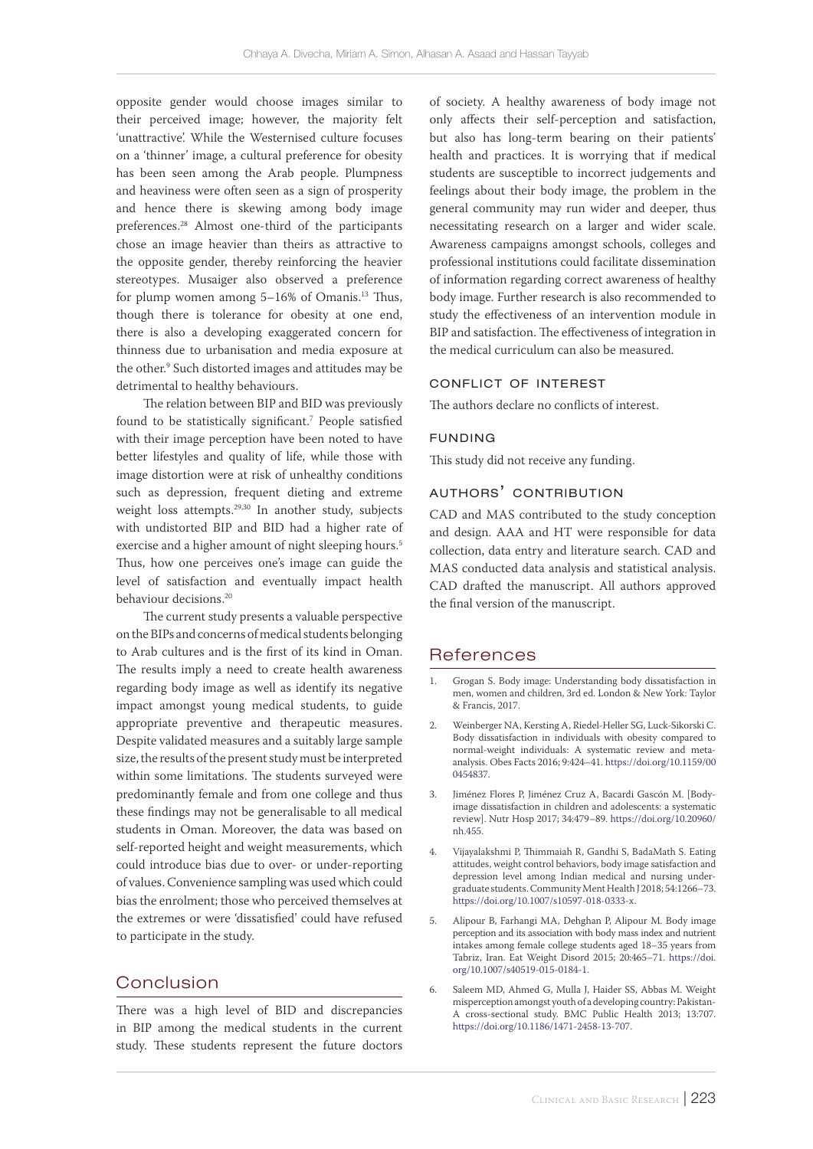opposite gender would choose images similar to their perceived image; however, the majority felt 'unattractive'. While the Westernised culture focuses on a 'thinner' image, a cultural preference for obesity has been seen among the Arab people. Plumpness and heaviness were often seen as a sign of prosperity and hence there is skewing among body image preferences.28 Almost one-third of the participants chose an image heavier than theirs as attractive to the opposite gender, thereby reinforcing the heavier stereotypes. Musaiger also observed a preference for plump women among 5-16% of Omanis.<sup>13</sup> Thus, though there is tolerance for obesity at one end, there is also a developing exaggerated concern for thinness due to urbanisation and media exposure at the other.9 Such distorted images and attitudes may be detrimental to healthy behaviours.

The relation between BIP and BID was previously found to be statistically significant.7 People satisfied with their image perception have been noted to have better lifestyles and quality of life, while those with image distortion were at risk of unhealthy conditions such as depression, frequent dieting and extreme weight loss attempts.<sup>29,30</sup> In another study, subjects with undistorted BIP and BID had a higher rate of exercise and a higher amount of night sleeping hours.<sup>5</sup> Thus, how one perceives one's image can guide the level of satisfaction and eventually impact health behaviour decisions.<sup>20</sup>

The current study presents a valuable perspective on the BIPs and concerns of medical students belonging to Arab cultures and is the first of its kind in Oman. The results imply a need to create health awareness regarding body image as well as identify its negative impact amongst young medical students, to guide appropriate preventive and therapeutic measures. Despite validated measures and a suitably large sample size, the results of the present study must be interpreted within some limitations. The students surveyed were predominantly female and from one college and thus these findings may not be generalisable to all medical students in Oman. Moreover, the data was based on self-reported height and weight measurements, which could introduce bias due to over- or under-reporting of values. Convenience sampling was used which could bias the enrolment; those who perceived themselves at the extremes or were 'dissatisfied' could have refused to participate in the study.

# Conclusion

There was a high level of BID and discrepancies in BIP among the medical students in the current study. These students represent the future doctors of society. A healthy awareness of body image not only affects their self-perception and satisfaction, but also has long-term bearing on their patients' health and practices. It is worrying that if medical students are susceptible to incorrect judgements and feelings about their body image, the problem in the general community may run wider and deeper, thus necessitating research on a larger and wider scale. Awareness campaigns amongst schools, colleges and professional institutions could facilitate dissemination of information regarding correct awareness of healthy body image. Further research is also recommended to study the effectiveness of an intervention module in BIP and satisfaction. The effectiveness of integration in the medical curriculum can also be measured.

#### conflict of interest

The authors declare no conflicts of interest.

#### funding

This study did not receive any funding.

#### authors' contribution

CAD and MAS contributed to the study conception and design. AAA and HT were responsible for data collection, data entry and literature search. CAD and MAS conducted data analysis and statistical analysis. CAD drafted the manuscript. All authors approved the final version of the manuscript.

#### References

- 1. Grogan S. Body image: Understanding body dissatisfaction in men, women and children, 3rd ed. London & New York: Taylor & Francis, 2017.
- 2. Weinberger NA, Kersting A, Riedel-Heller SG, Luck-Sikorski C. Body dissatisfaction in individuals with obesity compared to normal-weight individuals: A systematic review and metaanalysis. Obes Facts 2016; 9:424–41. [https://doi.org/10.1159/00](https://doi.org/10.1159/000454837) [0454837](https://doi.org/10.1159/000454837).
- 3. Jiménez Flores P, Jiménez Cruz A, Bacardi Gascón M. [Bodyimage dissatisfaction in children and adolescents: a systematic review]. Nutr Hosp 2017; 34:479–89. [https://doi.org/10.20960/](https://doi.org/10.20960/nh.455) [nh.455.](https://doi.org/10.20960/nh.455)
- 4. Vijayalakshmi P, Thimmaiah R, Gandhi S, BadaMath S. Eating attitudes, weight control behaviors, body image satisfaction and depression level among Indian medical and nursing undergraduate students. Community Ment Health J 2018; 54:1266–73. <https://doi.org/10.1007/s10597-018-0333-x>.
- 5. Alipour B, Farhangi MA, Dehghan P, Alipour M. Body image perception and its association with body mass index and nutrient intakes among female college students aged 18–35 years from Tabriz, Iran. Eat Weight Disord 2015; 20:465–71. [https://doi.](https://doi.org/10.1007/s40519-015-0184-1) [org/10.1007/s40519-015-0184-1](https://doi.org/10.1007/s40519-015-0184-1).
- 6. Saleem MD, Ahmed G, Mulla J, Haider SS, Abbas M. Weight misperception amongst youth of a developing country: Pakistan-A cross-sectional study. BMC Public Health 2013; 13:707. [https://doi.org/10.1186/1471-2458-13-707.](https://doi.org/10.1186/1471-2458-13-707)